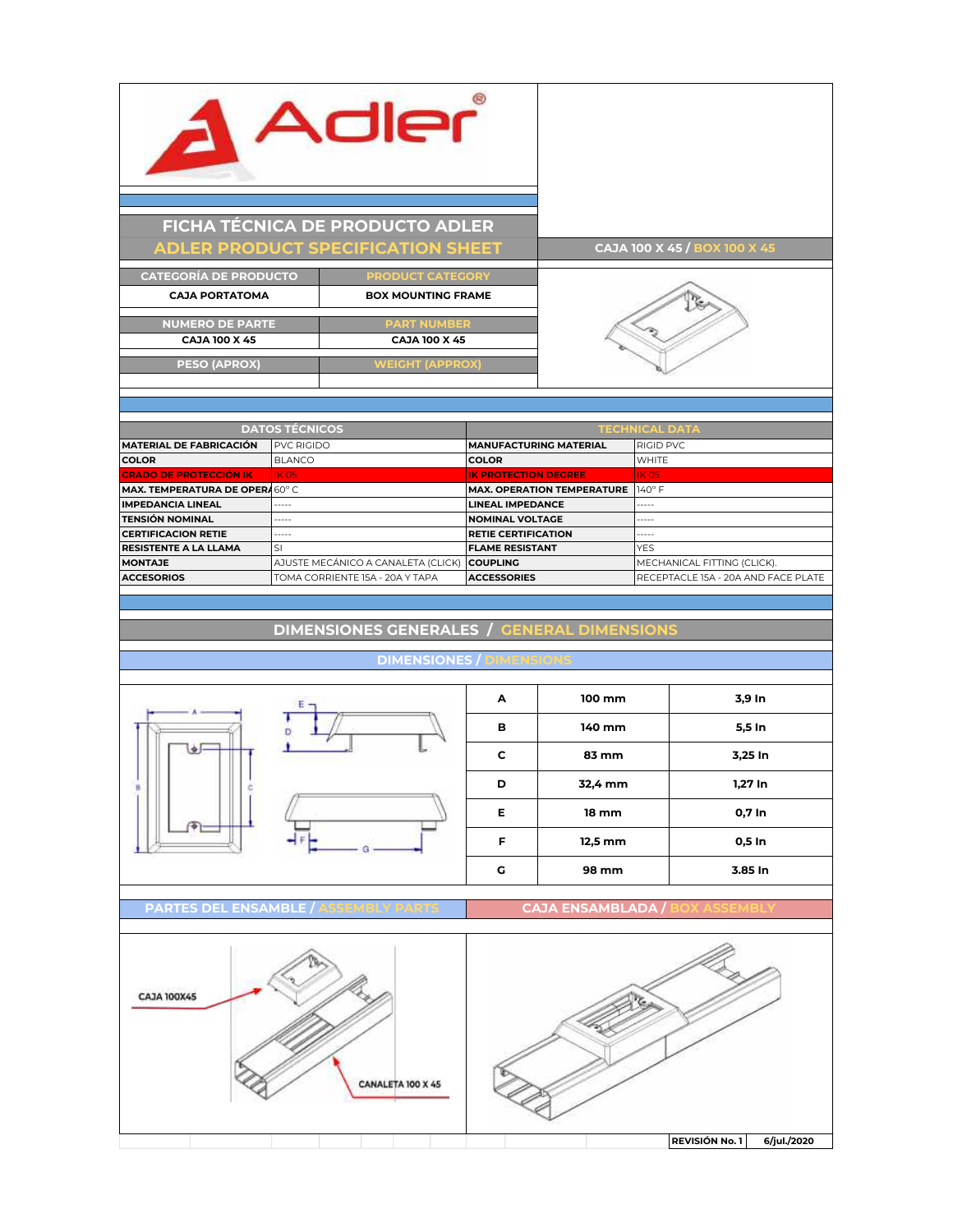

Adler

| <b>CATEGORÍA DE PRODUCTO</b> | <b>PRODUCT CATEGORY</b>   |  |
|------------------------------|---------------------------|--|
| <b>CAJA PORTATOMA</b>        | <b>BOX MOUNTING FRAME</b> |  |
|                              |                           |  |
| <b>NUMERO DE PARTE</b>       | <b>PART NUMBER</b>        |  |
| <b>CAJA 100 X 45</b>         | <b>CAJA 100 X 45</b>      |  |
|                              |                           |  |
| <b>PESO (APROX)</b>          | <b>WEIGHT (APPROX)</b>    |  |
|                              |                           |  |



| <b>DATOS TÉCNICOS</b>          |                                    | <b>TECHNICAL DATA</b>             |                                     |
|--------------------------------|------------------------------------|-----------------------------------|-------------------------------------|
| <b>MATERIAL DE FABRICACIÓN</b> | <b>PVC RIGIDO</b>                  | <b>MANUFACTURING MATERIAL</b>     | <b>RIGID PVC</b>                    |
| <b>COLOR</b>                   | <b>BLANCO</b>                      | <b>COLOR</b>                      | <b>WHITE</b>                        |
| <b>GRADO DE PROTECCIÓN IK</b>  | IK 05                              | <b>IK PROTECTION DEGREE</b>       | <b>IK 05</b>                        |
| MAX. TEMPERATURA DE OPERA60°C  |                                    | <b>MAX. OPERATION TEMPERATURE</b> | $140^\circ$ F                       |
| <b>IMPEDANCIA LINEAL</b>       | -----                              | <b>LINEAL IMPEDANCE</b>           | -----                               |
| <b>TENSIÓN NOMINAL</b>         | -----                              | <b>NOMINAL VOLTAGE</b>            | $- - - - -$                         |
| <b>CERTIFICACION RETIE</b>     | -----                              | <b>RETIE CERTIFICATION</b>        | -----                               |
| <b>RESISTENTE A LA LLAMA</b>   | <sub>SI</sub>                      | <b>FLAME RESISTANT</b>            | <b>YES</b>                          |
| <b>MONTAJE</b>                 | AJUSTE MECÁNICO A CANALETA (CLICK) | <b>COUPLING</b>                   | MECHANICAL FITTING (CLICK).         |
| <b>ACCESORIOS</b>              | TOMA CORRIENTE 15A - 20A Y TAPA    | <b>ACCESSORIES</b>                | RECEPTACLE 15A - 20A AND FACE PLATE |
|                                |                                    |                                   |                                     |

**DIMENSIONES GENERALES / GENERAL DIMENSIO** 

## **DIMENSIONES**





**PARTES DEL ENSAMBLE / ASSEMBLY PARTS CAJA ENSAMBLAD**